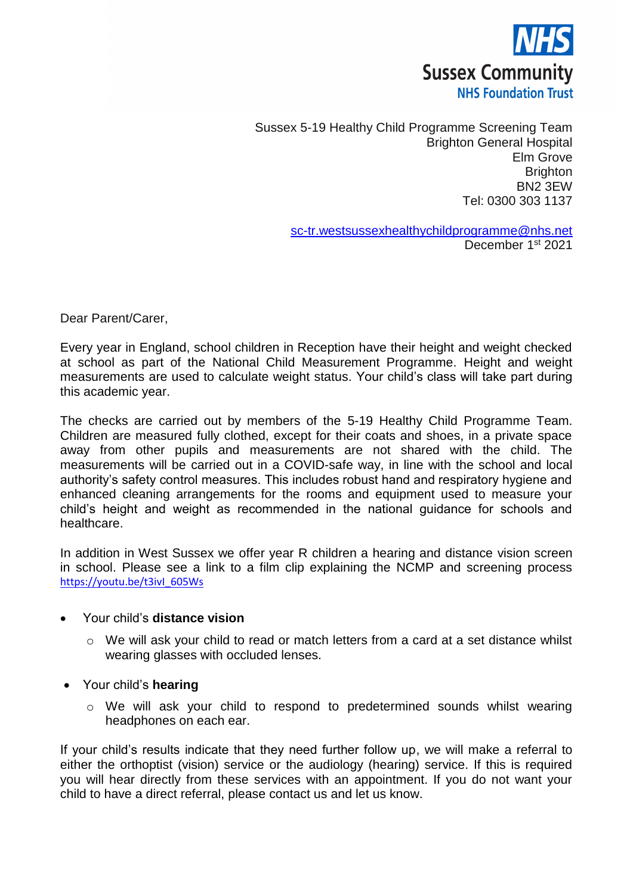

Sussex 5-19 Healthy Child Programme Screening Team Brighton General Hospital Elm Grove **Brighton** BN2 3EW Tel: 0300 303 1137

> [sc-tr.westsussexhealthychildprogramme@nhs.net](mailto:sc-tr.westsussexhealthychildprogramme@nhs.net) December 1<sup>st</sup> 2021

Dear Parent/Carer,

Every year in England, school children in Reception have their height and weight checked at school as part of the National Child Measurement Programme. Height and weight measurements are used to calculate weight status. Your child's class will take part during this academic year.

The checks are carried out by members of the 5-19 Healthy Child Programme Team. Children are measured fully clothed, except for their coats and shoes, in a private space away from other pupils and measurements are not shared with the child. The measurements will be carried out in a COVID-safe way, in line with the school and local authority's safety control measures. This includes robust hand and respiratory hygiene and enhanced cleaning arrangements for the rooms and equipment used to measure your child's height and weight as recommended in the national guidance for schools and healthcare.

In addition in West Sussex we offer year R children a hearing and distance vision screen in school. Please see a link to a film clip explaining the NCMP and screening process [https://youtu.be/t3ivI\\_605Ws](https://youtu.be/t3ivI_605Ws)

#### Your child's **distance vision**

- $\circ$  We will ask your child to read or match letters from a card at a set distance whilst wearing glasses with occluded lenses.
- Your child's **hearing**
	- o We will ask your child to respond to predetermined sounds whilst wearing headphones on each ear.

If your child's results indicate that they need further follow up, we will make a referral to either the orthoptist (vision) service or the audiology (hearing) service. If this is required you will hear directly from these services with an appointment. If you do not want your child to have a direct referral, please contact us and let us know.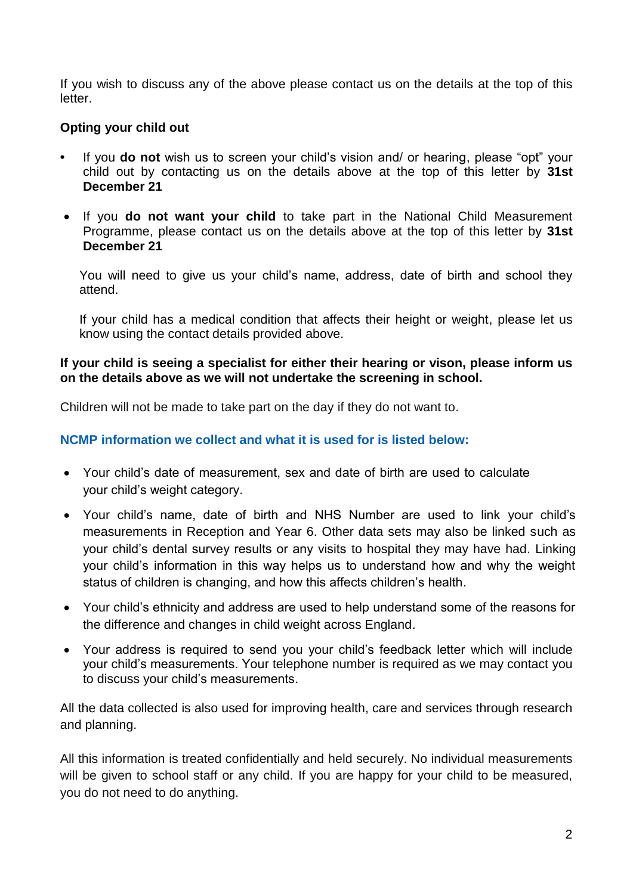If you wish to discuss any of the above please contact us on the details at the top of this letter.

## **Opting your child out**

- **•** If you **do not** wish us to screen your child's vision and/ or hearing, please "opt" your child out by contacting us on the details above at the top of this letter by **31st December 21**
- If you **do not want your child** to take part in the National Child Measurement Programme, please contact us on the details above at the top of this letter by **31st December 21**

You will need to give us your child's name, address, date of birth and school they attend.

If your child has a medical condition that affects their height or weight, please let us know using the contact details provided above.

#### **If your child is seeing a specialist for either their hearing or vison, please inform us on the details above as we will not undertake the screening in school.**

Children will not be made to take part on the day if they do not want to.

### **NCMP information we collect and what it is used for is listed below:**

- Your child's date of measurement, sex and date of birth are used to calculate your child's weight category.
- Your child's name, date of birth and NHS Number are used to link your child's measurements in Reception and Year 6. Other data sets may also be linked such as your child's dental survey results or any visits to hospital they may have had. Linking your child's information in this way helps us to understand how and why the weight status of children is changing, and how this affects children's health.
- Your child's ethnicity and address are used to help understand some of the reasons for the difference and changes in child weight across England.
- Your address is required to send you your child's feedback letter which will include your child's measurements. Your telephone number is required as we may contact you to discuss your child's measurements.

All the data collected is also used for improving health, care and services through research and planning.

All this information is treated confidentially and held securely. No individual measurements will be given to school staff or any child. If you are happy for your child to be measured, you do not need to do anything.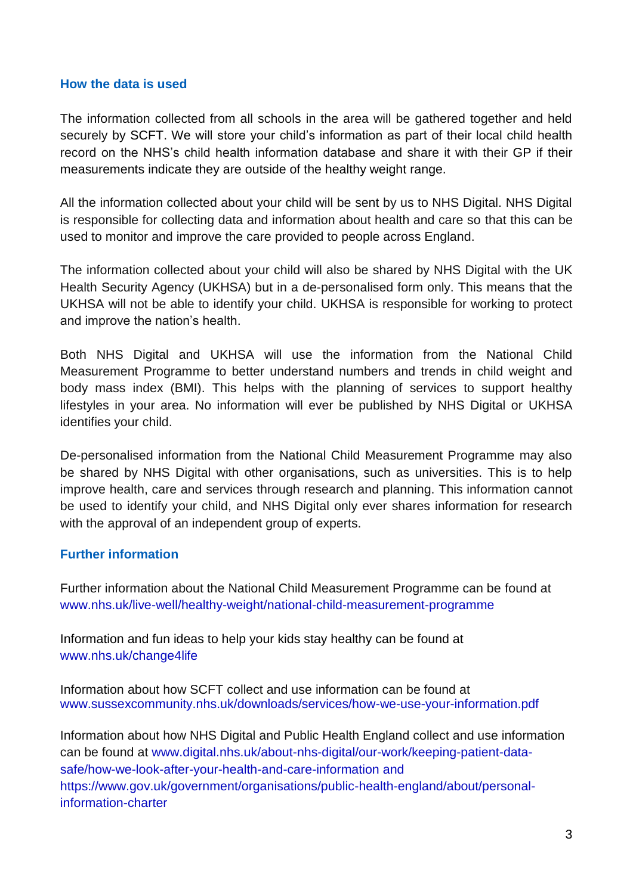#### **How the data is used**

The information collected from all schools in the area will be gathered together and held securely by SCFT. We will store your child's information as part of their local child health record on the NHS's child health information database and share it with their GP if their measurements indicate they are outside of the healthy weight range.

All the information collected about your child will be sent by us to NHS Digital. NHS Digital is responsible for collecting data and information about health and care so that this can be used to monitor and improve the care provided to people across England.

The information collected about your child will also be shared by NHS Digital with the UK Health Security Agency (UKHSA) but in a de-personalised form only. This means that the UKHSA will not be able to identify your child. UKHSA is responsible for working to protect and improve the nation's health.

Both NHS Digital and UKHSA will use the information from the National Child Measurement Programme to better understand numbers and trends in child weight and body mass index (BMI). This helps with the planning of services to support healthy lifestyles in your area. No information will ever be published by NHS Digital or UKHSA identifies your child.

De-personalised information from the National Child Measurement Programme may also be shared by NHS Digital with other organisations, such as universities. This is to help improve health, care and services through research and planning. This information cannot be used to identify your child, and NHS Digital only ever shares information for research with the approval of an independent group of experts.

#### **Further information**

Further information about the National Child Measurement Programme can be found at www.nhs.uk/live-well/healthy-weight/national-child-measurement-programme

Information and fun ideas to help your kids stay healthy can be found at www.nhs.uk/change4life

Information about how SCFT collect and use information can be found at www.sussexcommunity.nhs.uk/downloads/services/how-we-use-your-information.pdf

Information about how NHS Digital and Public Health England collect and use information can be found at www.digital.nhs.uk/about-nhs-digital/our-work/keeping-patient-datasafe/how-we-look-after-your-health-and-care-information and [https://www.gov.uk/government/organisations/public-health-england/about/personal](https://www.gov.uk/government/organisations/public-health-england/about/personal-information-charter)[information-charter](https://www.gov.uk/government/organisations/public-health-england/about/personal-information-charter)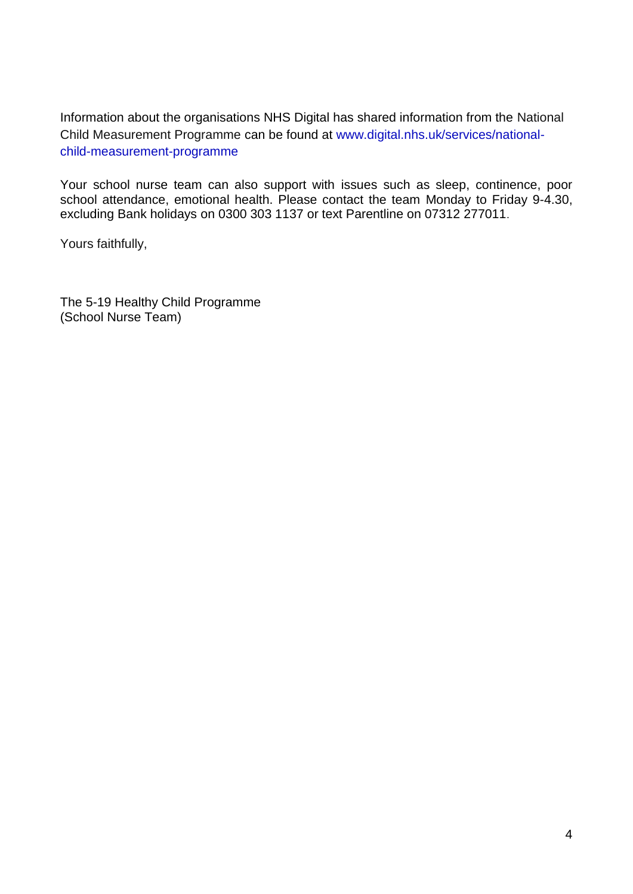Information about the organisations NHS Digital has shared information from the National Child Measurement Programme can be found at www[.digital.nhs.uk/services/national](https://digital.nhs.uk/services/national-child-measurement-programme/)[child-measurement-programme](https://digital.nhs.uk/services/national-child-measurement-programme/)

Your school nurse team can also support with issues such as sleep, continence, poor school attendance, emotional health. Please contact the team Monday to Friday 9-4.30, excluding Bank holidays on 0300 303 1137 or text Parentline on 07312 277011.

Yours faithfully,

The 5-19 Healthy Child Programme (School Nurse Team)